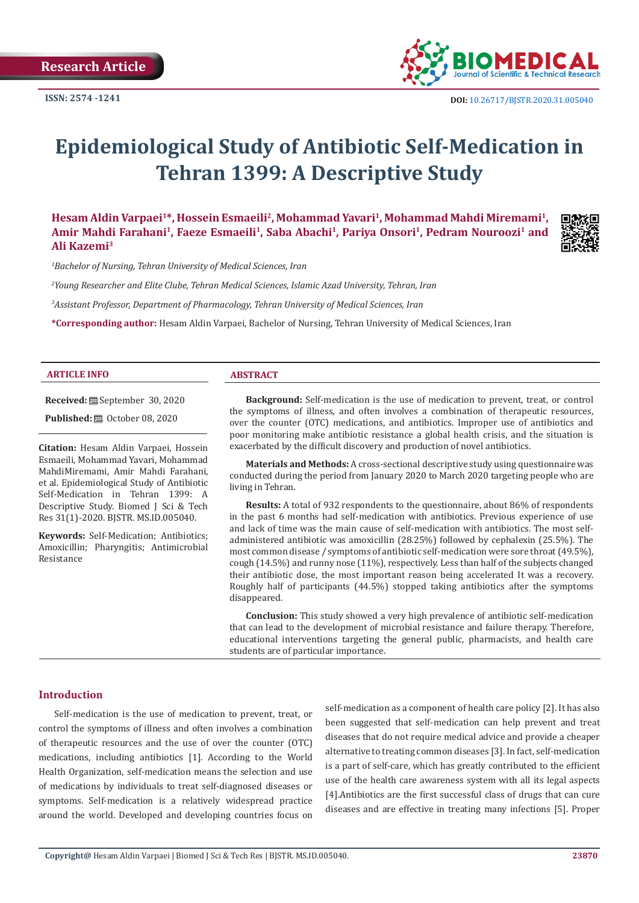

# **Epidemiological Study of Antibiotic Self-Medication in Tehran 1399: A Descriptive Study**

**Hesam Aldin Varpaei1\*, Hossein Esmaeili2, Mohammad Yavari1, Mohammad Mahdi Miremami1,**  Amir Mahdi Farahani<sup>1</sup>, Faeze Esmaeili<sup>1</sup>, Saba Abachi<sup>1</sup>, Pariya Onsori<sup>1</sup>, Pedram Nouroozi<sup>1</sup> and **Ali Kazemi3**



*1 Bachelor of Nursing, Tehran University of Medical Sciences, Iran*

*2 Young Researcher and Elite Clube, Tehran Medical Sciences, Islamic Azad University, Tehran, Iran*

*3 Assistant Professor, Department of Pharmacology, Tehran University of Medical Sciences, Iran*

**\*Corresponding author:** Hesam Aldin Varpaei, Bachelor of Nursing, Tehran University of Medical Sciences, Iran

#### **ARTICLE INFO ABSTRACT**

**Received:** September 30, 2020

**Published:**  $\blacksquare$  October 08, 2020

**Citation:** Hesam Aldin Varpaei, Hossein Esmaeili, Mohammad Yavari, Mohammad MahdiMiremami, Amir Mahdi Farahani, et al. Epidemiological Study of Antibiotic Self-Medication in Tehran 1399: A Descriptive Study. Biomed J Sci & Tech Res 31(1)-2020. BJSTR. MS.ID.005040.

**Keywords:** Self-Medication; Antibiotics; Amoxicillin; Pharyngitis; Antimicrobial Resistance

**Background:** Self-medication is the use of medication to prevent, treat, or control the symptoms of illness, and often involves a combination of therapeutic resources, over the counter (OTC) medications, and antibiotics. Improper use of antibiotics and poor monitoring make antibiotic resistance a global health crisis, and the situation is exacerbated by the difficult discovery and production of novel antibiotics.

**Materials and Methods:** A cross-sectional descriptive study using questionnaire was conducted during the period from January 2020 to March 2020 targeting people who are living in Tehran.

**Results:** A total of 932 respondents to the questionnaire, about 86% of respondents in the past 6 months had self-medication with antibiotics. Previous experience of use and lack of time was the main cause of self-medication with antibiotics. The most selfadministered antibiotic was amoxicillin (28.25%) followed by cephalexin (25.5%). The most common disease / symptoms of antibiotic self-medication were sore throat (49.5%), cough (14.5%) and runny nose (11%), respectively. Less than half of the subjects changed their antibiotic dose, the most important reason being accelerated It was a recovery. Roughly half of participants (44.5%) stopped taking antibiotics after the symptoms disappeared.

**Conclusion:** This study showed a very high prevalence of antibiotic self-medication that can lead to the development of microbial resistance and failure therapy. Therefore, educational interventions targeting the general public, pharmacists, and health care students are of particular importance.

#### **Introduction**

Self-medication is the use of medication to prevent, treat, or control the symptoms of illness and often involves a combination of therapeutic resources and the use of over the counter (OTC) medications, including antibiotics [1]. According to the World Health Organization, self-medication means the selection and use of medications by individuals to treat self-diagnosed diseases or symptoms. Self-medication is a relatively widespread practice around the world. Developed and developing countries focus on

self-medication as a component of health care policy [2]. It has also been suggested that self-medication can help prevent and treat diseases that do not require medical advice and provide a cheaper alternative to treating common diseases [3]. In fact, self-medication is a part of self-care, which has greatly contributed to the efficient use of the health care awareness system with all its legal aspects [4].Antibiotics are the first successful class of drugs that can cure diseases and are effective in treating many infections [5]. Proper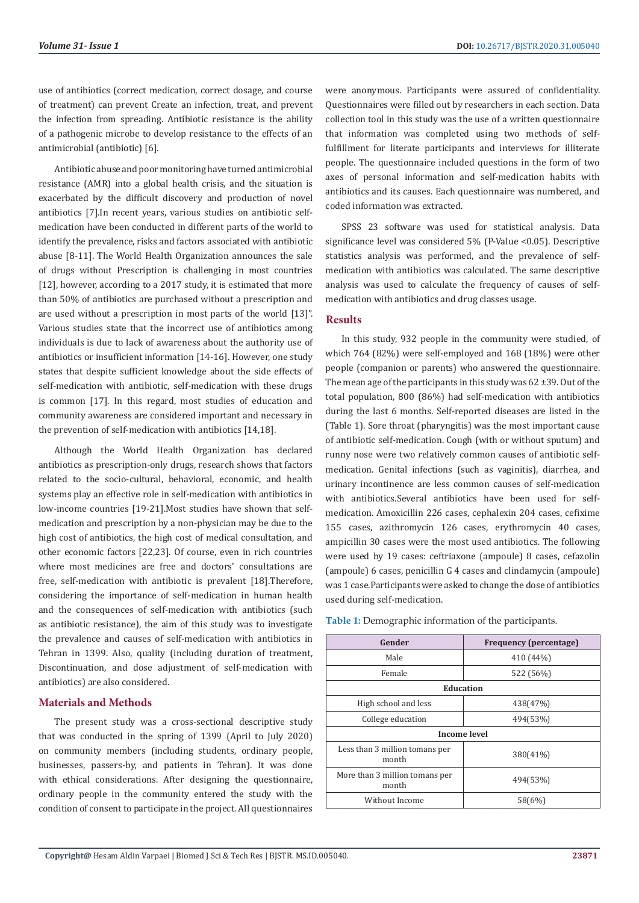use of antibiotics (correct medication, correct dosage, and course of treatment) can prevent Create an infection, treat, and prevent the infection from spreading. Antibiotic resistance is the ability of a pathogenic microbe to develop resistance to the effects of an antimicrobial (antibiotic) [6].

Antibiotic abuse and poor monitoring have turned antimicrobial resistance (AMR) into a global health crisis, and the situation is exacerbated by the difficult discovery and production of novel antibiotics [7].In recent years, various studies on antibiotic selfmedication have been conducted in different parts of the world to identify the prevalence, risks and factors associated with antibiotic abuse [8-11]. The World Health Organization announces the sale of drugs without Prescription is challenging in most countries [12], however, according to a 2017 study, it is estimated that more than 50% of antibiotics are purchased without a prescription and are used without a prescription in most parts of the world [13]". Various studies state that the incorrect use of antibiotics among individuals is due to lack of awareness about the authority use of antibiotics or insufficient information [14-16]. However, one study states that despite sufficient knowledge about the side effects of self-medication with antibiotic, self-medication with these drugs is common [17]. In this regard, most studies of education and community awareness are considered important and necessary in the prevention of self-medication with antibiotics [14,18].

Although the World Health Organization has declared antibiotics as prescription-only drugs, research shows that factors related to the socio-cultural, behavioral, economic, and health systems play an effective role in self-medication with antibiotics in low-income countries [19-21].Most studies have shown that selfmedication and prescription by a non-physician may be due to the high cost of antibiotics, the high cost of medical consultation, and other economic factors [22,23]. Of course, even in rich countries where most medicines are free and doctors' consultations are free, self-medication with antibiotic is prevalent [18].Therefore, considering the importance of self-medication in human health and the consequences of self-medication with antibiotics (such as antibiotic resistance), the aim of this study was to investigate the prevalence and causes of self-medication with antibiotics in Tehran in 1399. Also, quality (including duration of treatment, Discontinuation, and dose adjustment of self-medication with antibiotics) are also considered.

### **Materials and Methods**

The present study was a cross-sectional descriptive study that was conducted in the spring of 1399 (April to July 2020) on community members (including students, ordinary people, businesses, passers-by, and patients in Tehran). It was done with ethical considerations. After designing the questionnaire, ordinary people in the community entered the study with the condition of consent to participate in the project. All questionnaires

were anonymous. Participants were assured of confidentiality. Questionnaires were filled out by researchers in each section. Data collection tool in this study was the use of a written questionnaire that information was completed using two methods of selffulfillment for literate participants and interviews for illiterate people. The questionnaire included questions in the form of two axes of personal information and self-medication habits with antibiotics and its causes. Each questionnaire was numbered, and coded information was extracted.

SPSS 23 software was used for statistical analysis. Data significance level was considered 5% (P-Value <0.05). Descriptive statistics analysis was performed, and the prevalence of selfmedication with antibiotics was calculated. The same descriptive analysis was used to calculate the frequency of causes of selfmedication with antibiotics and drug classes usage.

# **Results**

In this study, 932 people in the community were studied, of which 764 (82%) were self-employed and 168 (18%) were other people (companion or parents) who answered the questionnaire. The mean age of the participants in this study was  $62 \pm 39$ . Out of the total population, 800 (86%) had self-medication with antibiotics during the last 6 months. Self-reported diseases are listed in the (Table 1). Sore throat (pharyngitis) was the most important cause of antibiotic self-medication. Cough (with or without sputum) and runny nose were two relatively common causes of antibiotic selfmedication. Genital infections (such as vaginitis), diarrhea, and urinary incontinence are less common causes of self-medication with antibiotics.Several antibiotics have been used for selfmedication. Amoxicillin 226 cases, cephalexin 204 cases, cefixime 155 cases, azithromycin 126 cases, erythromycin 40 cases, ampicillin 30 cases were the most used antibiotics. The following were used by 19 cases: ceftriaxone (ampoule) 8 cases, cefazolin (ampoule) 6 cases, penicillin G 4 cases and clindamycin (ampoule) was 1 case.Participants were asked to change the dose of antibiotics used during self-medication.

| Gender                                  | <b>Frequency (percentage)</b> |  |  |  |
|-----------------------------------------|-------------------------------|--|--|--|
| Male                                    | 410 (44%)                     |  |  |  |
| Female                                  | 522 (56%)                     |  |  |  |
| <b>Education</b>                        |                               |  |  |  |
| High school and less                    | 438(47%)                      |  |  |  |
| College education                       | 494(53%)                      |  |  |  |
| <b>Income level</b>                     |                               |  |  |  |
| Less than 3 million tomans per<br>month | 380(41%)                      |  |  |  |
| More than 3 million tomans per<br>month | 494(53%)                      |  |  |  |
| Without Income                          | 58(6%)                        |  |  |  |

**Table 1:** Demographic information of the participants.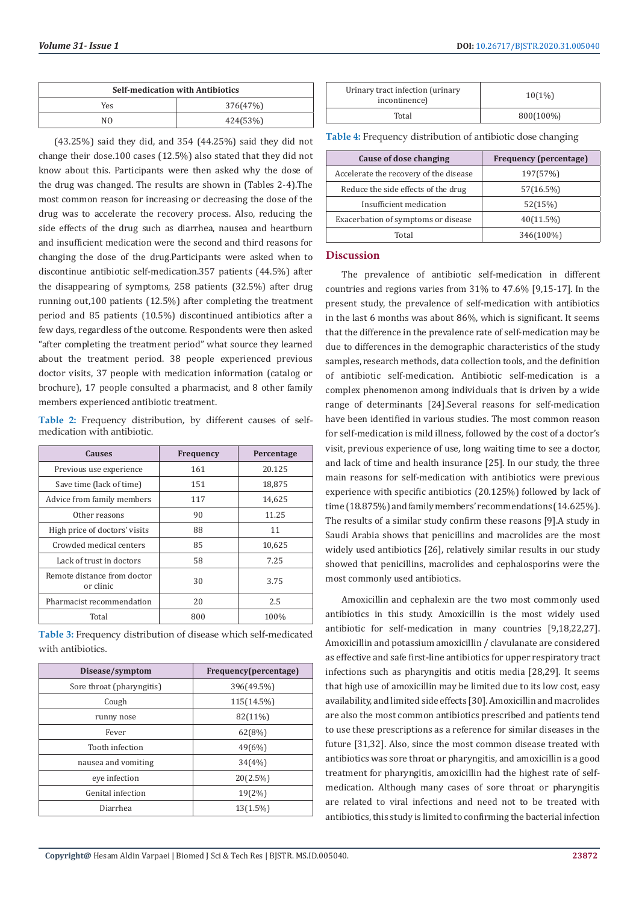| <b>Self-medication with Antibiotics</b> |          |  |
|-----------------------------------------|----------|--|
| Yes                                     | 376(47%) |  |
| NΩ                                      | 424(53%) |  |

(43.25%) said they did, and 354 (44.25%) said they did not change their dose.100 cases (12.5%) also stated that they did not know about this. Participants were then asked why the dose of the drug was changed. The results are shown in (Tables 2-4).The most common reason for increasing or decreasing the dose of the drug was to accelerate the recovery process. Also, reducing the side effects of the drug such as diarrhea, nausea and heartburn and insufficient medication were the second and third reasons for changing the dose of the drug.Participants were asked when to discontinue antibiotic self-medication.357 patients (44.5%) after the disappearing of symptoms, 258 patients (32.5%) after drug running out,100 patients (12.5%) after completing the treatment period and 85 patients (10.5%) discontinued antibiotics after a few days, regardless of the outcome. Respondents were then asked "after completing the treatment period" what source they learned about the treatment period. 38 people experienced previous doctor visits, 37 people with medication information (catalog or brochure), 17 people consulted a pharmacist, and 8 other family members experienced antibiotic treatment.

**Table 2:** Frequency distribution, by different causes of selfmedication with antibiotic.

| <b>Causes</b>                            | Frequency | Percentage |
|------------------------------------------|-----------|------------|
| Previous use experience                  | 161       | 20.125     |
| Save time (lack of time)                 | 151       | 18,875     |
| Advice from family members               | 117       | 14,625     |
| Other reasons                            | 90        | 11.25      |
| High price of doctors' visits            | 88        | 11         |
| Crowded medical centers                  | 85        | 10,625     |
| Lack of trust in doctors                 | 58        | 7.25       |
| Remote distance from doctor<br>or clinic | 30        | 3.75       |
| Pharmacist recommendation                | 20        | 2.5        |
| Total                                    | 800       | 100%       |

**Table 3:** Frequency distribution of disease which self-medicated with antibiotics.

| Disease/symptom           | Frequency(percentage) |  |
|---------------------------|-----------------------|--|
| Sore throat (pharyngitis) | 396(49.5%)            |  |
| Cough                     | 115(14.5%)            |  |
| runny nose                | 82(11%)               |  |
| Fever                     | 62(8%)                |  |
| Tooth infection           | 49(6%)                |  |
| nausea and vomiting       | 34(4%)                |  |
| eve infection             | 20(2.5%)              |  |
| Genital infection         | 19(2%)                |  |
| Diarrhea                  | $13(1.5\%)$           |  |

| Urinary tract infection (urinary<br>incontinence) | 10(1%)    |
|---------------------------------------------------|-----------|
| Total                                             | 800(100%) |

**Table 4:** Frequency distribution of antibiotic dose changing

| Cause of dose changing                 | <b>Frequency (percentage)</b> |
|----------------------------------------|-------------------------------|
| Accelerate the recovery of the disease | 197(57%)                      |
| Reduce the side effects of the drug    | 57(16.5%)                     |
| Insufficient medication                | 52(15%)                       |
| Exacerbation of symptoms or disease    | 40(11.5%)                     |
| Total                                  | 346(100%)                     |

### **Discussion**

The prevalence of antibiotic self-medication in different countries and regions varies from 31% to 47.6% [9,15-17]. In the present study, the prevalence of self-medication with antibiotics in the last 6 months was about 86%, which is significant. It seems that the difference in the prevalence rate of self-medication may be due to differences in the demographic characteristics of the study samples, research methods, data collection tools, and the definition of antibiotic self-medication. Antibiotic self-medication is a complex phenomenon among individuals that is driven by a wide range of determinants [24].Several reasons for self-medication have been identified in various studies. The most common reason for self-medication is mild illness, followed by the cost of a doctor's visit, previous experience of use, long waiting time to see a doctor, and lack of time and health insurance [25]. In our study, the three main reasons for self-medication with antibiotics were previous experience with specific antibiotics (20.125%) followed by lack of time (18.875%) and family members' recommendations (14.625%). The results of a similar study confirm these reasons [9].A study in Saudi Arabia shows that penicillins and macrolides are the most widely used antibiotics [26], relatively similar results in our study showed that penicillins, macrolides and cephalosporins were the most commonly used antibiotics.

Amoxicillin and cephalexin are the two most commonly used antibiotics in this study. Amoxicillin is the most widely used antibiotic for self-medication in many countries [9,18,22,27]. Amoxicillin and potassium amoxicillin / clavulanate are considered as effective and safe first-line antibiotics for upper respiratory tract infections such as pharyngitis and otitis media [28,29]. It seems that high use of amoxicillin may be limited due to its low cost, easy availability, and limited side effects [30]. Amoxicillin and macrolides are also the most common antibiotics prescribed and patients tend to use these prescriptions as a reference for similar diseases in the future [31,32]. Also, since the most common disease treated with antibiotics was sore throat or pharyngitis, and amoxicillin is a good treatment for pharyngitis, amoxicillin had the highest rate of selfmedication. Although many cases of sore throat or pharyngitis are related to viral infections and need not to be treated with antibiotics, this study is limited to confirming the bacterial infection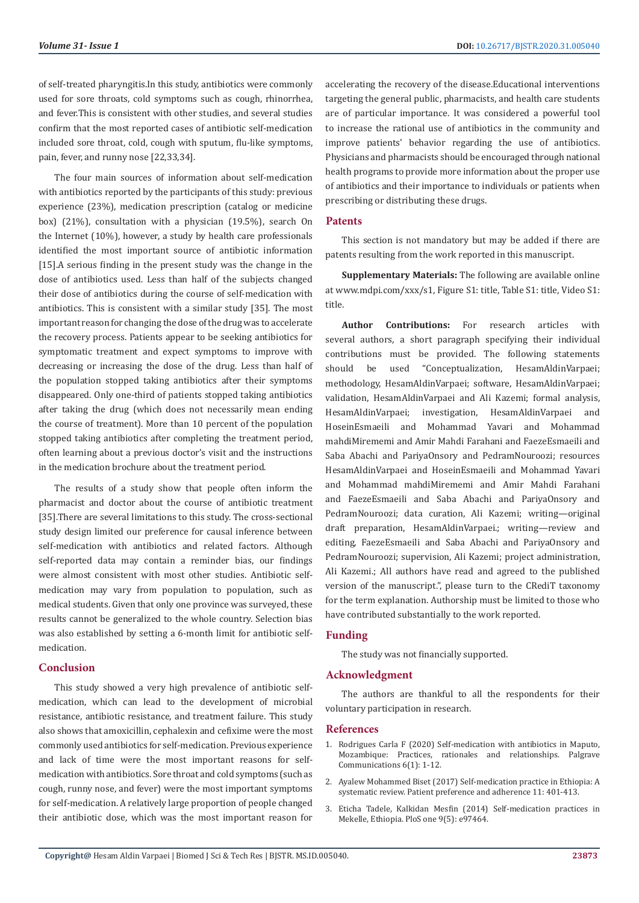of self-treated pharyngitis.In this study, antibiotics were commonly used for sore throats, cold symptoms such as cough, rhinorrhea, and fever.This is consistent with other studies, and several studies confirm that the most reported cases of antibiotic self-medication included sore throat, cold, cough with sputum, flu-like symptoms, pain, fever, and runny nose [22,33,34].

The four main sources of information about self-medication with antibiotics reported by the participants of this study: previous experience (23%), medication prescription (catalog or medicine box) (21%), consultation with a physician (19.5%), search On the Internet (10%), however, a study by health care professionals identified the most important source of antibiotic information [15].A serious finding in the present study was the change in the dose of antibiotics used. Less than half of the subjects changed their dose of antibiotics during the course of self-medication with antibiotics. This is consistent with a similar study [35]. The most important reason for changing the dose of the drug was to accelerate the recovery process. Patients appear to be seeking antibiotics for symptomatic treatment and expect symptoms to improve with decreasing or increasing the dose of the drug. Less than half of the population stopped taking antibiotics after their symptoms disappeared. Only one-third of patients stopped taking antibiotics after taking the drug (which does not necessarily mean ending the course of treatment). More than 10 percent of the population stopped taking antibiotics after completing the treatment period, often learning about a previous doctor's visit and the instructions in the medication brochure about the treatment period.

The results of a study show that people often inform the pharmacist and doctor about the course of antibiotic treatment [35].There are several limitations to this study. The cross-sectional study design limited our preference for causal inference between self-medication with antibiotics and related factors. Although self-reported data may contain a reminder bias, our findings were almost consistent with most other studies. Antibiotic selfmedication may vary from population to population, such as medical students. Given that only one province was surveyed, these results cannot be generalized to the whole country. Selection bias was also established by setting a 6-month limit for antibiotic selfmedication.

# **Conclusion**

This study showed a very high prevalence of antibiotic selfmedication, which can lead to the development of microbial resistance, antibiotic resistance, and treatment failure. This study also shows that amoxicillin, cephalexin and cefixime were the most commonly used antibiotics for self-medication. Previous experience and lack of time were the most important reasons for selfmedication with antibiotics. Sore throat and cold symptoms (such as cough, runny nose, and fever) were the most important symptoms for self-medication. A relatively large proportion of people changed their antibiotic dose, which was the most important reason for accelerating the recovery of the disease.Educational interventions targeting the general public, pharmacists, and health care students are of particular importance. It was considered a powerful tool to increase the rational use of antibiotics in the community and improve patients' behavior regarding the use of antibiotics. Physicians and pharmacists should be encouraged through national health programs to provide more information about the proper use of antibiotics and their importance to individuals or patients when prescribing or distributing these drugs.

### **Patents**

This section is not mandatory but may be added if there are patents resulting from the work reported in this manuscript.

**Supplementary Materials:** The following are available online at www.mdpi.com/xxx/s1, Figure S1: title, Table S1: title, Video S1: title.

**Author Contributions:** For research articles with several authors, a short paragraph specifying their individual contributions must be provided. The following statements should be used "Conceptualization, HesamAldinVarpaei; methodology, HesamAldinVarpaei; software, HesamAldinVarpaei; validation, HesamAldinVarpaei and Ali Kazemi; formal analysis, HesamAldinVarpaei; investigation, HesamAldinVarpaei and HoseinEsmaeili and Mohammad Yavari and Mohammad mahdiMirememi and Amir Mahdi Farahani and FaezeEsmaeili and Saba Abachi and PariyaOnsory and PedramNouroozi; resources HesamAldinVarpaei and HoseinEsmaeili and Mohammad Yavari and Mohammad mahdiMirememi and Amir Mahdi Farahani and FaezeEsmaeili and Saba Abachi and PariyaOnsory and PedramNouroozi; data curation, Ali Kazemi; writing—original draft preparation, HesamAldinVarpaei.; writing—review and editing, FaezeEsmaeili and Saba Abachi and PariyaOnsory and PedramNouroozi; supervision, Ali Kazemi; project administration, Ali Kazemi.; All authors have read and agreed to the published version of the manuscript.", please turn to the CRediT taxonomy for the term explanation. Authorship must be limited to those who have contributed substantially to the work reported.

# **Funding**

The study was not financially supported.

# **Acknowledgment**

The authors are thankful to all the respondents for their voluntary participation in research.

#### **References**

- 1. [Rodrigues Carla F \(2020\) Self-medication with antibiotics in Maputo,](https://www.nature.com/articles/s41599-019-0385-8) [Mozambique: Practices, rationales and relationships. Palgrave](https://www.nature.com/articles/s41599-019-0385-8) [Communications 6\(1\): 1-12.](https://www.nature.com/articles/s41599-019-0385-8)
- 2. [Ayalew Mohammed Biset \(2017\) Self-medication practice in Ethiopia: A](https://pubmed.ncbi.nlm.nih.gov/28280312/) [systematic review. Patient preference and adherence 11: 401-413.](https://pubmed.ncbi.nlm.nih.gov/28280312/)
- 3. [Eticha Tadele, Kalkidan Mesfin \(2014\) Self-medication practices in](https://www.ncbi.nlm.nih.gov/pmc/articles/PMC4018272/) [Mekelle, Ethiopia. PloS one 9\(5\): e97464.](https://www.ncbi.nlm.nih.gov/pmc/articles/PMC4018272/)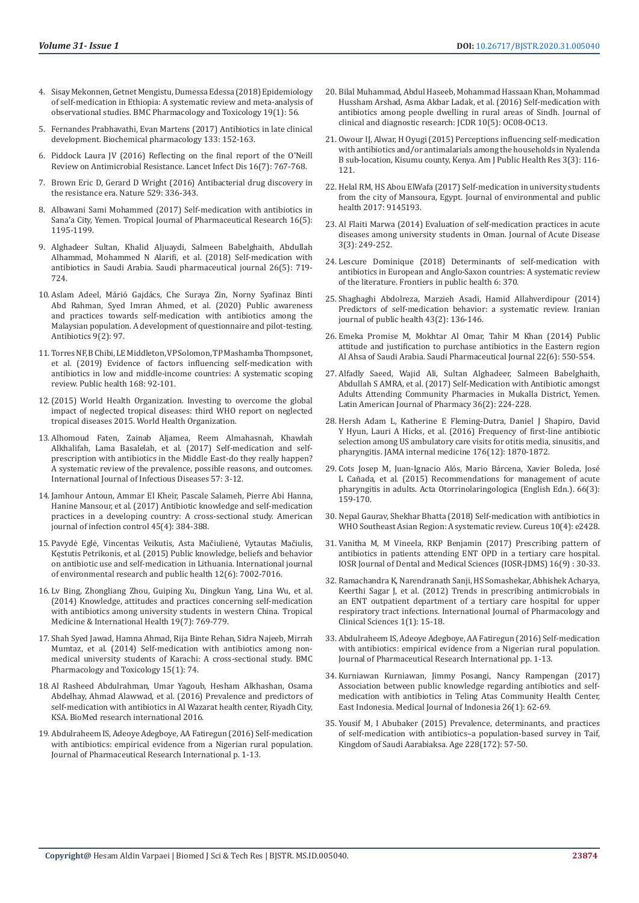- 4. [Sisay Mekonnen, Getnet Mengistu, Dumessa Edessa \(2018\) Epidemiology](https://www.ncbi.nlm.nih.gov/pmc/articles/PMC6131789/)  [of self-medication in Ethiopia: A systematic review and meta-analysis of](https://www.ncbi.nlm.nih.gov/pmc/articles/PMC6131789/)  [observational studies. BMC Pharmacology and Toxicology 19\(1\): 56.](https://www.ncbi.nlm.nih.gov/pmc/articles/PMC6131789/)
- 5. [Fernandes Prabhavathi, Evan Martens \(2017\) Antibiotics in late clinical](https://pubmed.ncbi.nlm.nih.gov/27687641/)  [development. Biochemical pharmacology 133: 152-163.](https://pubmed.ncbi.nlm.nih.gov/27687641/)
- 6. [Piddock Laura JV \(2016\) Reflecting on the final report of the O'Neill](https://pubmed.ncbi.nlm.nih.gov/27208976/)  [Review on Antimicrobial Resistance. Lancet Infect Dis 16\(7\): 767-768.](https://pubmed.ncbi.nlm.nih.gov/27208976/)
- 7. [Brown Eric D, Gerard D Wright \(2016\) Antibacterial drug discovery in](https://www.nature.com/articles/nature17042)  [the resistance era. Nature 529: 336-343.](https://www.nature.com/articles/nature17042)
- Albawani Sami Mohammed (2017) Self-medication with antibiotics in [Sana'a City, Yemen. Tropical Journal of Pharmaceutical Research 16\(5\):](https://www.ajol.info/index.php/tjpr/article/view/157041)  [1195-1199.](https://www.ajol.info/index.php/tjpr/article/view/157041)
- 9. Alghadeer Sultan, Khalid Aljuaydi, Salmeen Babelghaith, Abdullah Alhammad, Mohammed N Alarifi, et al. (2018) Self-medication with antibiotics in Saudi Arabia. Saudi pharmaceutical journal 26(5): 719- 724.
- 10. [Aslam Adeel, Márió Gajdács, Che Suraya Zin, Norny Syafinaz Binti](https://pubmed.ncbi.nlm.nih.gov/32102325/)  [Abd Rahman, Syed Imran Ahmed, et al. \(2020\) Public awareness](https://pubmed.ncbi.nlm.nih.gov/32102325/)  [and practices towards self-medication with antibiotics among the](https://pubmed.ncbi.nlm.nih.gov/32102325/)  [Malaysian population. A development of questionnaire and pilot-testing.](https://pubmed.ncbi.nlm.nih.gov/32102325/)  [Antibiotics 9\(2\): 97.](https://pubmed.ncbi.nlm.nih.gov/32102325/)
- 11. [Torres NF, B Chibi, LE Middleton, VP Solomon, TP Mashamba Thompsonet,](https://pubmed.ncbi.nlm.nih.gov/30716570/)  [et al. \(2019\) Evidence of factors influencing self-medication with](https://pubmed.ncbi.nlm.nih.gov/30716570/)  [antibiotics in low and middle-income countries: A systematic scoping](https://pubmed.ncbi.nlm.nih.gov/30716570/)  [review. Public health 168: 92-101.](https://pubmed.ncbi.nlm.nih.gov/30716570/)
- 12.(2015) World Health Organization. Investing to overcome the global impact of neglected tropical diseases: third WHO report on neglected tropical diseases 2015. World Health Organization.
- 13. [Alhomoud Faten, Zainab Aljamea, Reem Almahasnah, Khawlah](https://pubmed.ncbi.nlm.nih.gov/28111172/)  [Alkhalifah, Lama Basalelah, et al. \(2017\) Self-medication and self](https://pubmed.ncbi.nlm.nih.gov/28111172/)[prescription with antibiotics in the Middle East-do they really happen?](https://pubmed.ncbi.nlm.nih.gov/28111172/)  [A systematic review of the prevalence, possible reasons, and outcomes.](https://pubmed.ncbi.nlm.nih.gov/28111172/)  [International Journal of Infectious Diseases 57: 3-12.](https://pubmed.ncbi.nlm.nih.gov/28111172/)
- 14. [Jamhour Antoun, Ammar El Kheir, Pascale Salameh, Pierre Abi Hanna,](https://pubmed.ncbi.nlm.nih.gov/28087169/)  [Hanine Mansour, et al. \(2017\) Antibiotic knowledge and self-medication](https://pubmed.ncbi.nlm.nih.gov/28087169/)  [practices in a developing country: A cross-sectional study. American](https://pubmed.ncbi.nlm.nih.gov/28087169/)  [journal of infection control 45\(4\): 384-388.](https://pubmed.ncbi.nlm.nih.gov/28087169/)
- 15. [Pavydė Eglė, Vincentas Veikutis, Asta Mačiulienė, Vytautas Mačiulis,](https://pubmed.ncbi.nlm.nih.gov/26090612/)  [Kęstutis Petrikonis, et al. \(2015\) Public knowledge, beliefs and behavior](https://pubmed.ncbi.nlm.nih.gov/26090612/)  [on antibiotic use and self-medication in Lithuania. International journal](https://pubmed.ncbi.nlm.nih.gov/26090612/)  [of environmental research and public health 12\(6\): 7002-7016.](https://pubmed.ncbi.nlm.nih.gov/26090612/)
- 16. [Lv Bing, Zhongliang Zhou, Guiping Xu, Dingkun Yang, Lina Wu, et al.](https://pubmed.ncbi.nlm.nih.gov/24941883/)  [\(2014\) Knowledge, attitudes and practices concerning self-medication](https://pubmed.ncbi.nlm.nih.gov/24941883/)  [with antibiotics among university students in western China. Tropical](https://pubmed.ncbi.nlm.nih.gov/24941883/)  [Medicine & International Health 19\(7\): 769-779.](https://pubmed.ncbi.nlm.nih.gov/24941883/)
- 17. [Shah Syed Jawad, Hamna Ahmad, Rija Binte Rehan, Sidra Najeeb, Mirrah](https://www.ncbi.nlm.nih.gov/pmc/articles/PMC4320599/)  [Mumtaz, et al. \(2014\) Self-medication with antibiotics among non](https://www.ncbi.nlm.nih.gov/pmc/articles/PMC4320599/)[medical university students of Karachi: A cross-sectional study. BMC](https://www.ncbi.nlm.nih.gov/pmc/articles/PMC4320599/)  [Pharmacology and Toxicology 15\(1\): 74.](https://www.ncbi.nlm.nih.gov/pmc/articles/PMC4320599/)
- 18. [Al Rasheed Abdulrahman, Umar Yagoub, Hesham Alkhashan, Osama](https://www.hindawi.com/journals/bmri/2016/3916874/)  [Abdelhay, Ahmad Alawwad, et al. \(2016\) Prevalence and predictors of](https://www.hindawi.com/journals/bmri/2016/3916874/)  [self-medication with antibiotics in Al Wazarat health center, Riyadh City,](https://www.hindawi.com/journals/bmri/2016/3916874/)  [KSA. BioMed research international 2016.](https://www.hindawi.com/journals/bmri/2016/3916874/)
- 19. [Abdulraheem IS, Adeoye Adegboye, AA Fatiregun \(2016\) Self-medication](https://www.journaljpri.com/index.php/JPRI/article/view/18619)  [with antibiotics: empirical evidence from a Nigerian rural population.](https://www.journaljpri.com/index.php/JPRI/article/view/18619)  [Journal of Pharmaceutical Research International p. 1-13.](https://www.journaljpri.com/index.php/JPRI/article/view/18619)
- 20. [Bilal Muhammad, Abdul Haseeb, Mohammad Hassaan Khan, Mohammad](https://www.ncbi.nlm.nih.gov/pmc/articles/PMC4948439/) [Hussham Arshad, Asma Akbar Ladak, et al. \(2016\) Self-medication with](https://www.ncbi.nlm.nih.gov/pmc/articles/PMC4948439/) [antibiotics among people dwelling in rural areas of Sindh. Journal of](https://www.ncbi.nlm.nih.gov/pmc/articles/PMC4948439/) [clinical and diagnostic research: JCDR 10\(5\): OC08-OC13.](https://www.ncbi.nlm.nih.gov/pmc/articles/PMC4948439/)
- 21. [Owour IJ, Alwar, H Oyugi \(2015\) Perceptions influencing self-medication](http://pubs.sciepub.com/ajphr/3/3/7/index.html) [with antibiotics and/or antimalarials among the households in Nyalenda](http://pubs.sciepub.com/ajphr/3/3/7/index.html) [B sub-location, Kisumu county, Kenya. Am J Public Health Res 3\(3\): 116-](http://pubs.sciepub.com/ajphr/3/3/7/index.html) [121.](http://pubs.sciepub.com/ajphr/3/3/7/index.html)
- 22. [Helal RM, HS Abou ElWafa \(2017\) Self-medication in university students](https://pubmed.ncbi.nlm.nih.gov/28479921/) [from the city of Mansoura, Egypt. Journal of environmental and public](https://pubmed.ncbi.nlm.nih.gov/28479921/) [health 2017: 9145193.](https://pubmed.ncbi.nlm.nih.gov/28479921/)
- 23. [Al Flaiti Marwa \(2014\) Evaluation of self-medication practices in acute](https://www.sciencedirect.com/science/article/pii/S2221618914600561) [diseases among university students in Oman. Journal of Acute Disease](https://www.sciencedirect.com/science/article/pii/S2221618914600561) [3\(3\): 249-252.](https://www.sciencedirect.com/science/article/pii/S2221618914600561)
- 24. [Lescure Dominique \(2018\) Determinants of self-medication with](https://pubmed.ncbi.nlm.nih.gov/30619809/) [antibiotics in European and Anglo-Saxon countries: A systematic review](https://pubmed.ncbi.nlm.nih.gov/30619809/) [of the literature. Frontiers in public health 6: 370.](https://pubmed.ncbi.nlm.nih.gov/30619809/)
- 25. [Shaghaghi Abdolreza, Marzieh Asadi, Hamid Allahverdipour \(2014\)](https://pubmed.ncbi.nlm.nih.gov/26060736/) [Predictors of self-medication behavior: a systematic review. Iranian](https://pubmed.ncbi.nlm.nih.gov/26060736/) [journal of public health 43\(2\): 136-146.](https://pubmed.ncbi.nlm.nih.gov/26060736/)
- 26. [Emeka Promise M, Mokhtar Al Omar, Tahir M Khan \(2014\) Public](https://pubmed.ncbi.nlm.nih.gov/25561868/) [attitude and justification to purchase antibiotics in the Eastern region](https://pubmed.ncbi.nlm.nih.gov/25561868/) [Al Ahsa of Saudi Arabia. Saudi Pharmaceutical Journal 22\(6\): 550-554.](https://pubmed.ncbi.nlm.nih.gov/25561868/)
- 27. [Alfadly Saeed, Wajid Ali, Sultan Alghadeer, Salmeen Babelghaith,](https://www.researchgate.net/publication/317524096_Self-Medication_with_Antibiotic_amongst_Adults_Attending_Community_Pharmacies_in_Mukalla_District_Yemen) [Abdullah S AMRA, et al. \(2017\) Self-Medication with Antibiotic amongst](https://www.researchgate.net/publication/317524096_Self-Medication_with_Antibiotic_amongst_Adults_Attending_Community_Pharmacies_in_Mukalla_District_Yemen) [Adults Attending Community Pharmacies in Mukalla District, Yemen.](https://www.researchgate.net/publication/317524096_Self-Medication_with_Antibiotic_amongst_Adults_Attending_Community_Pharmacies_in_Mukalla_District_Yemen) [Latin American Journal of Pharmacy 36\(2\): 224-228.](https://www.researchgate.net/publication/317524096_Self-Medication_with_Antibiotic_amongst_Adults_Attending_Community_Pharmacies_in_Mukalla_District_Yemen)
- 28. [Hersh Adam L, Katherine E Fleming-Dutra, Daniel J Shapiro, David](https://pubmed.ncbi.nlm.nih.gov/27775770/) [Y Hyun, Lauri A Hicks, et al. \(2016\) Frequency of first-line antibiotic](https://pubmed.ncbi.nlm.nih.gov/27775770/) [selection among US ambulatory care visits for otitis media, sinusitis, and](https://pubmed.ncbi.nlm.nih.gov/27775770/) [pharyngitis. JAMA internal medicine 176\(12\): 1870-1872.](https://pubmed.ncbi.nlm.nih.gov/27775770/)
- 29. [Cots Josep M, Juan-Ignacio Alós, Mario Bárcena, Xavier Boleda, José](https://pubmed.ncbi.nlm.nih.gov/25772389/) [L Cañada, et al. \(2015\) Recommendations for management of acute](https://pubmed.ncbi.nlm.nih.gov/25772389/) [pharyngitis in adults. Acta Otorrinolaringologica \(English Edn.\). 66\(3\):](https://pubmed.ncbi.nlm.nih.gov/25772389/) [159-170.](https://pubmed.ncbi.nlm.nih.gov/25772389/)
- 30. [Nepal Gaurav, Shekhar Bhatta \(2018\) Self-medication with antibiotics in](https://www.ncbi.nlm.nih.gov/pmc/articles/PMC5988199/) [WHO Southeast Asian Region: A systematic review. Cureus 10\(4\): e2428.](https://www.ncbi.nlm.nih.gov/pmc/articles/PMC5988199/)
- 31. [Vanitha M, M Vineela, RKP Benjamin \(2017\) Prescribing pattern of](http://www.iosrjournals.org/iosr-jdms/papers/Vol16-issue9/Version-2/H1609023033.pdf) [antibiotics in patients attending ENT OPD in a tertiary care hospital.](http://www.iosrjournals.org/iosr-jdms/papers/Vol16-issue9/Version-2/H1609023033.pdf) [IOSR Journal of Dental and Medical Sciences \(IOSR-JDMS\) 16\(9\) : 30-33.](http://www.iosrjournals.org/iosr-jdms/papers/Vol16-issue9/Version-2/H1609023033.pdf)
- 32. [Ramachandra K, Narendranath Sanji, HS Somashekar, Abhishek Acharya,](https://www.ijphs.org/article/2012/1/1-3) [Keerthi Sagar J, et al. \(2012\) Trends in prescribing antimicrobials in](https://www.ijphs.org/article/2012/1/1-3) [an ENT outpatient department of a tertiary care hospital for upper](https://www.ijphs.org/article/2012/1/1-3) [respiratory tract infections. International Journal of Pharmacology and](https://www.ijphs.org/article/2012/1/1-3) [Clinical Sciences 1\(1\): 15-18.](https://www.ijphs.org/article/2012/1/1-3)
- 33. [Abdulraheem IS, Adeoye Adegboye, AA Fatiregun \(2016\) Self-medication](https://www.journaljpri.com/index.php/JPRI/article/view/18619) [with antibiotics: empirical evidence from a Nigerian rural population.](https://www.journaljpri.com/index.php/JPRI/article/view/18619) [Journal of Pharmaceutical Research International pp. 1-13.](https://www.journaljpri.com/index.php/JPRI/article/view/18619)
- 34. [Kurniawan Kurniawan, Jimmy Posangi, Nancy Rampengan \(2017\)](https://www.researchgate.net/publication/316976216_Association_between_public_knowledge_regarding_antibiotics_and_self-medication_with_antibiotics_in_Teling_Atas_Community_Health_Center_East_Indonesia) [Association between public knowledge regarding antibiotics and self](https://www.researchgate.net/publication/316976216_Association_between_public_knowledge_regarding_antibiotics_and_self-medication_with_antibiotics_in_Teling_Atas_Community_Health_Center_East_Indonesia)[medication with antibiotics in Teling Atas Community Health Center,](https://www.researchgate.net/publication/316976216_Association_between_public_knowledge_regarding_antibiotics_and_self-medication_with_antibiotics_in_Teling_Atas_Community_Health_Center_East_Indonesia) [East Indonesia. Medical Journal of Indonesia 26\(1\): 62-69.](https://www.researchgate.net/publication/316976216_Association_between_public_knowledge_regarding_antibiotics_and_self-medication_with_antibiotics_in_Teling_Atas_Community_Health_Center_East_Indonesia)
- 35. [Yousif M, I Abubaker \(2015\) Prevalence, determinants, and practices](https://www.researchgate.net/publication/281678235_Prevalence_determinants_and_practices_of_self-medication_with_antibiotics_-_a_population_based_survey_in_Taif_Kingdom_of_Saudi_Aarabiaksa) [of self-medication with antibiotics–a population-based survey in Taif,](https://www.researchgate.net/publication/281678235_Prevalence_determinants_and_practices_of_self-medication_with_antibiotics_-_a_population_based_survey_in_Taif_Kingdom_of_Saudi_Aarabiaksa) [Kingdom of Saudi Aarabiaksa. Age 228\(172\): 57-50.](https://www.researchgate.net/publication/281678235_Prevalence_determinants_and_practices_of_self-medication_with_antibiotics_-_a_population_based_survey_in_Taif_Kingdom_of_Saudi_Aarabiaksa)